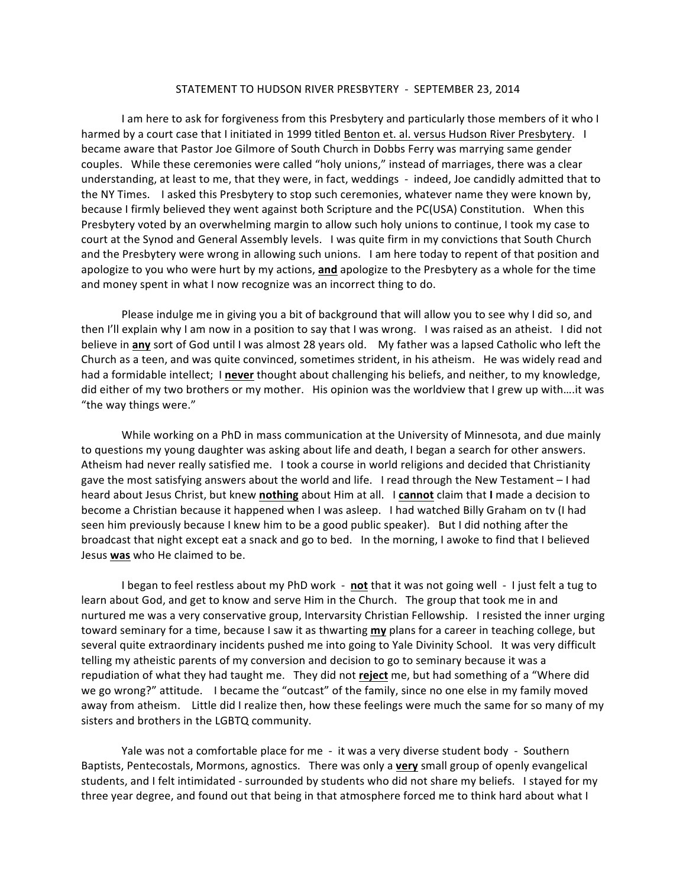## STATEMENT TO HUDSON RIVER PRESBYTERY - SEPTEMBER 23, 2014

I am here to ask for forgiveness from this Presbytery and particularly those members of it who I harmed by a court case that I initiated in 1999 titled Benton et. al. versus Hudson River Presbytery. I became aware that Pastor Joe Gilmore of South Church in Dobbs Ferry was marrying same gender couples. While these ceremonies were called "holy unions," instead of marriages, there was a clear understanding, at least to me, that they were, in fact, weddings - indeed, Joe candidly admitted that to the NY Times. I asked this Presbytery to stop such ceremonies, whatever name they were known by, because I firmly believed they went against both Scripture and the PC(USA) Constitution. When this Presbytery voted by an overwhelming margin to allow such holy unions to continue, I took my case to court at the Synod and General Assembly levels. I was quite firm in my convictions that South Church and the Presbytery were wrong in allowing such unions. I am here today to repent of that position and apologize to you who were hurt by my actions, and apologize to the Presbytery as a whole for the time and money spent in what I now recognize was an incorrect thing to do.

Please indulge me in giving you a bit of background that will allow you to see why I did so, and then I'll explain why I am now in a position to say that I was wrong. I was raised as an atheist. I did not believe in **any** sort of God until I was almost 28 years old. My father was a lapsed Catholic who left the Church as a teen, and was quite convinced, sometimes strident, in his atheism. He was widely read and had a formidable intellect; I never thought about challenging his beliefs, and neither, to my knowledge, did either of my two brothers or my mother. His opinion was the worldview that I grew up with....it was "the way things were."

While working on a PhD in mass communication at the University of Minnesota, and due mainly to questions my young daughter was asking about life and death, I began a search for other answers. Atheism had never really satisfied me. I took a course in world religions and decided that Christianity gave the most satisfying answers about the world and life. I read through the New Testament - I had heard about Jesus Christ, but knew nothing about Him at all. I cannot claim that I made a decision to become a Christian because it happened when I was asleep. I had watched Billy Graham on tv (I had seen him previously because I knew him to be a good public speaker). But I did nothing after the broadcast that night except eat a snack and go to bed. In the morning, I awoke to find that I believed Jesus was who He claimed to be.

I began to feel restless about my PhD work - not that it was not going well - I just felt a tug to learn about God, and get to know and serve Him in the Church. The group that took me in and nurtured me was a very conservative group, Intervarsity Christian Fellowship. I resisted the inner urging toward seminary for a time, because I saw it as thwarting my plans for a career in teaching college, but several quite extraordinary incidents pushed me into going to Yale Divinity School. It was very difficult telling my atheistic parents of my conversion and decision to go to seminary because it was a repudiation of what they had taught me. They did not reject me, but had something of a "Where did we go wrong?" attitude. I became the "outcast" of the family, since no one else in my family moved away from atheism. Little did I realize then, how these feelings were much the same for so many of my sisters and brothers in the LGBTQ community.

Yale was not a comfortable place for me - it was a very diverse student body - Southern Baptists, Pentecostals, Mormons, agnostics. There was only a very small group of openly evangelical students, and I felt intimidated - surrounded by students who did not share my beliefs. I stayed for my three year degree, and found out that being in that atmosphere forced me to think hard about what I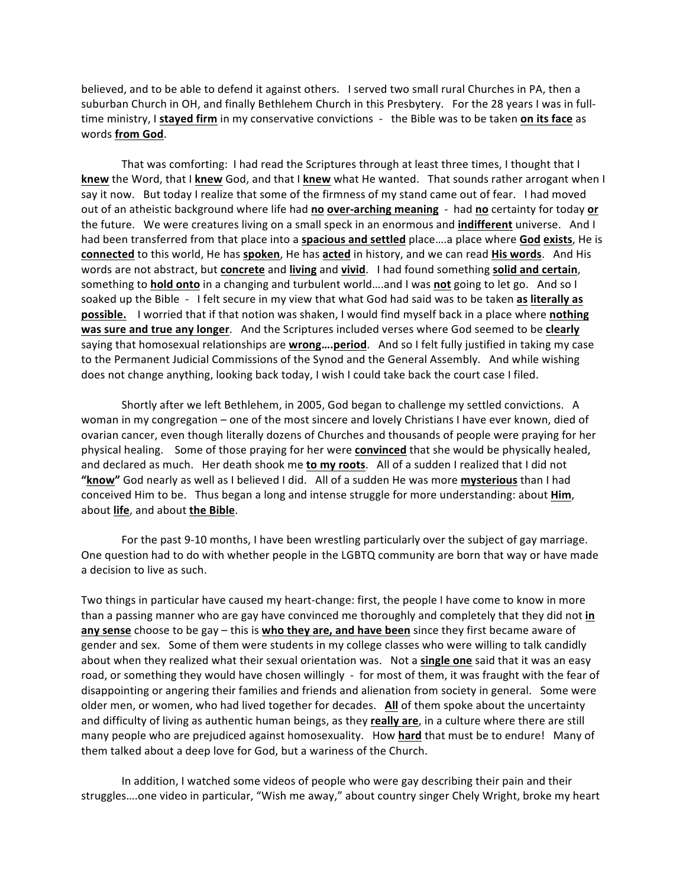believed, and to be able to defend it against others. I served two small rural Churches in PA, then a suburban Church in OH, and finally Bethlehem Church in this Presbytery. For the 28 years I was in fulltime ministry, I stayed firm in my conservative convictions - the Bible was to be taken on its face as words **from God**. 

That was comforting: I had read the Scriptures through at least three times, I thought that I **knew** the Word, that I knew God, and that I knew what He wanted. That sounds rather arrogant when I say it now. But today I realize that some of the firmness of my stand came out of fear. I had moved out of an atheistic background where life had no **over-arching meaning** - had no certainty for today or the future. We were creatures living on a small speck in an enormous and **indifferent** universe. And I had been transferred from that place into a **spacious and settled** place ... a place where God exists, He is **connected** to this world, He has **spoken**, He has acted in history, and we can read **His words**. And His words are not abstract, but **concrete** and **living** and **vivid**. I had found something **solid and certain**, something to **hold onto** in a changing and turbulent world....and I was not going to let go. And so I soaked up the Bible - I felt secure in my view that what God had said was to be taken as literally as **possible.** I worried that if that notion was shaken, I would find myself back in a place where **nothing was sure and true any longer.** And the Scriptures included verses where God seemed to be clearly saying that homosexual relationships are **wrong....period**. And so I felt fully justified in taking my case to the Permanent Judicial Commissions of the Synod and the General Assembly. And while wishing does not change anything, looking back today, I wish I could take back the court case I filed.

Shortly after we left Bethlehem, in 2005, God began to challenge my settled convictions. A woman in my congregation – one of the most sincere and lovely Christians I have ever known, died of ovarian cancer, even though literally dozens of Churches and thousands of people were praying for her physical healing. Some of those praying for her were **convinced** that she would be physically healed, and declared as much. Her death shook me to my roots. All of a sudden I realized that I did not "know" God nearly as well as I believed I did. All of a sudden He was more mysterious than I had conceived Him to be. Thus began a long and intense struggle for more understanding: about **Him**, about life, and about the Bible.

For the past 9-10 months, I have been wrestling particularly over the subject of gay marriage. One question had to do with whether people in the LGBTQ community are born that way or have made a decision to live as such.

Two things in particular have caused my heart-change: first, the people I have come to know in more than a passing manner who are gay have convinced me thoroughly and completely that they did not in **any sense** choose to be gay – this is who they are, and have been since they first became aware of gender and sex. Some of them were students in my college classes who were willing to talk candidly about when they realized what their sexual orientation was. Not a **single one** said that it was an easy road, or something they would have chosen willingly - for most of them, it was fraught with the fear of disappointing or angering their families and friends and alienation from society in general. Some were older men, or women, who had lived together for decades. **All** of them spoke about the uncertainty and difficulty of living as authentic human beings, as they **really are**, in a culture where there are still many people who are prejudiced against homosexuality. How **hard** that must be to endure! Many of them talked about a deep love for God, but a wariness of the Church.

In addition, I watched some videos of people who were gay describing their pain and their struggles....one video in particular, "Wish me away," about country singer Chely Wright, broke my heart